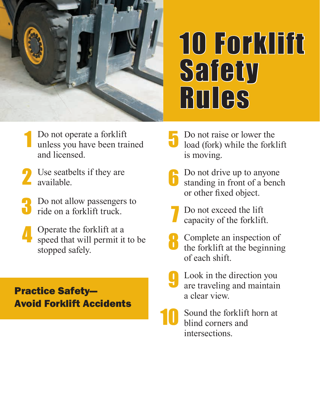

## 10 Forklift **Safety RULES**

- Do not operate a forklift unless you have been trained and licensed. 1
- Use seatbelts if they are 2 Use seatbelle.
- Do not allow passengers to ride on a forklift truck. 3
- Operate the forklift at a speed that will permit it to be stopped safely. 4

## Practice Safety— Avoid Forklift Accidents

- 5 Do not raise or lower the load (fork) while the forklift is moving.
- 6 Do not drive up to anyone standing in front of a bench or other fixed object.
- 7 Do not exceed the lift capacity of the forklift.
- 8 Complete an inspection of the forklift at the beginning of each shift.
- 9 Look in the direction you are traveling and maintain a clear view.
- 10 Sound the forklift horn at blind corners and intersections.